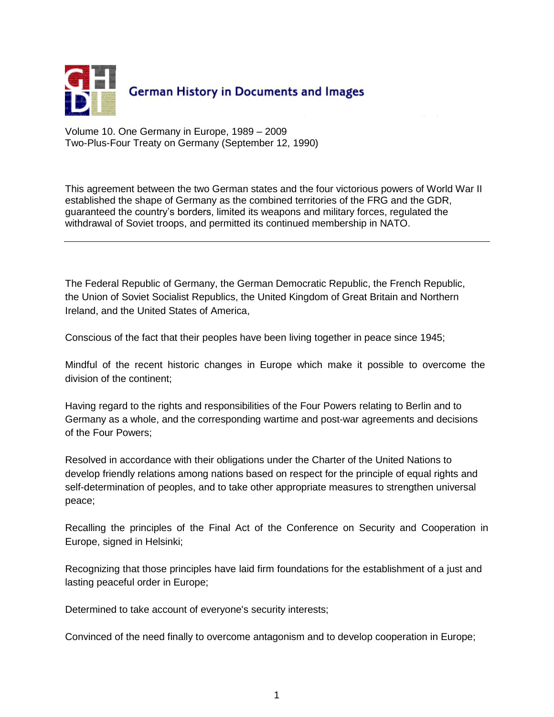

Volume 10. One Germany in Europe, 1989 – 2009 Two-Plus-Four Treaty on Germany (September 12, 1990)

This agreement between the two German states and the four victorious powers of World War II established the shape of Germany as the combined territories of the FRG and the GDR, guaranteed the country's borders, limited its weapons and military forces, regulated the withdrawal of Soviet troops, and permitted its continued membership in NATO.

The Federal Republic of Germany, the German Democratic Republic, the French Republic, the Union of Soviet Socialist Republics, the United Kingdom of Great Britain and Northern Ireland, and the United States of America,

Conscious of the fact that their peoples have been living together in peace since 1945;

Mindful of the recent historic changes in Europe which make it possible to overcome the division of the continent;

Having regard to the rights and responsibilities of the Four Powers relating to Berlin and to Germany as a whole, and the corresponding wartime and post-war agreements and decisions of the Four Powers;

Resolved in accordance with their obligations under the Charter of the United Nations to develop friendly relations among nations based on respect for the principle of equal rights and self-determination of peoples, and to take other appropriate measures to strengthen universal peace;

Recalling the principles of the Final Act of the Conference on Security and Cooperation in Europe, signed in Helsinki;

Recognizing that those principles have laid firm foundations for the establishment of a just and lasting peaceful order in Europe;

Determined to take account of everyone's security interests;

Convinced of the need finally to overcome antagonism and to develop cooperation in Europe;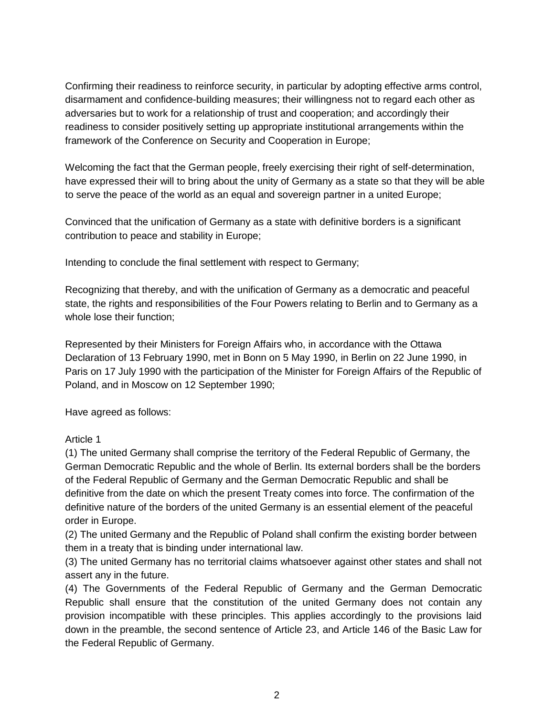Confirming their readiness to reinforce security, in particular by adopting effective arms control, disarmament and confidence-building measures; their willingness not to regard each other as adversaries but to work for a relationship of trust and cooperation; and accordingly their readiness to consider positively setting up appropriate institutional arrangements within the framework of the Conference on Security and Cooperation in Europe;

Welcoming the fact that the German people, freely exercising their right of self-determination, have expressed their will to bring about the unity of Germany as a state so that they will be able to serve the peace of the world as an equal and sovereign partner in a united Europe;

Convinced that the unification of Germany as a state with definitive borders is a significant contribution to peace and stability in Europe;

Intending to conclude the final settlement with respect to Germany;

Recognizing that thereby, and with the unification of Germany as a democratic and peaceful state, the rights and responsibilities of the Four Powers relating to Berlin and to Germany as a whole lose their function;

Represented by their Ministers for Foreign Affairs who, in accordance with the Ottawa Declaration of 13 February 1990, met in Bonn on 5 May 1990, in Berlin on 22 June 1990, in Paris on 17 July 1990 with the participation of the Minister for Foreign Affairs of the Republic of Poland, and in Moscow on 12 September 1990;

Have agreed as follows:

#### Article 1

(1) The united Germany shall comprise the territory of the Federal Republic of Germany, the German Democratic Republic and the whole of Berlin. Its external borders shall be the borders of the Federal Republic of Germany and the German Democratic Republic and shall be definitive from the date on which the present Treaty comes into force. The confirmation of the definitive nature of the borders of the united Germany is an essential element of the peaceful order in Europe.

(2) The united Germany and the Republic of Poland shall confirm the existing border between them in a treaty that is binding under international law.

(3) The united Germany has no territorial claims whatsoever against other states and shall not assert any in the future.

(4) The Governments of the Federal Republic of Germany and the German Democratic Republic shall ensure that the constitution of the united Germany does not contain any provision incompatible with these principles. This applies accordingly to the provisions laid down in the preamble, the second sentence of Article 23, and Article 146 of the Basic Law for the Federal Republic of Germany.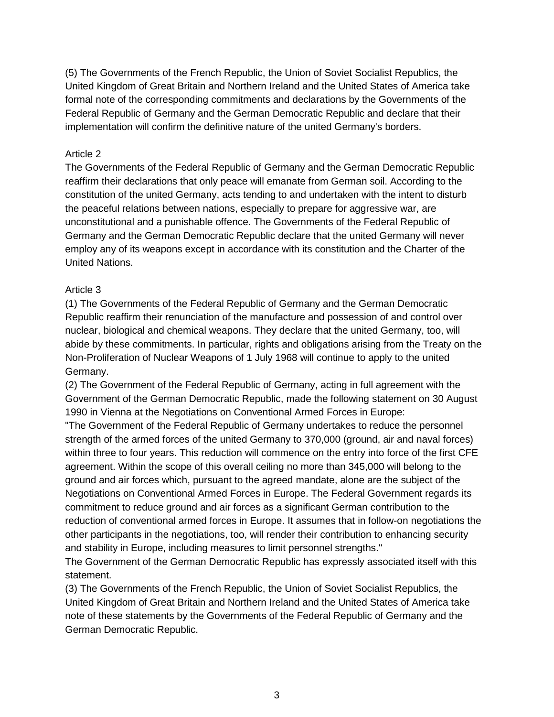(5) The Governments of the French Republic, the Union of Soviet Socialist Republics, the United Kingdom of Great Britain and Northern Ireland and the United States of America take formal note of the corresponding commitments and declarations by the Governments of the Federal Republic of Germany and the German Democratic Republic and declare that their implementation will confirm the definitive nature of the united Germany's borders.

## Article 2

The Governments of the Federal Republic of Germany and the German Democratic Republic reaffirm their declarations that only peace will emanate from German soil. According to the constitution of the united Germany, acts tending to and undertaken with the intent to disturb the peaceful relations between nations, especially to prepare for aggressive war, are unconstitutional and a punishable offence. The Governments of the Federal Republic of Germany and the German Democratic Republic declare that the united Germany will never employ any of its weapons except in accordance with its constitution and the Charter of the United Nations.

# Article 3

(1) The Governments of the Federal Republic of Germany and the German Democratic Republic reaffirm their renunciation of the manufacture and possession of and control over nuclear, biological and chemical weapons. They declare that the united Germany, too, will abide by these commitments. In particular, rights and obligations arising from the Treaty on the Non-Proliferation of Nuclear Weapons of 1 July 1968 will continue to apply to the united Germany.

(2) The Government of the Federal Republic of Germany, acting in full agreement with the Government of the German Democratic Republic, made the following statement on 30 August 1990 in Vienna at the Negotiations on Conventional Armed Forces in Europe:

"The Government of the Federal Republic of Germany undertakes to reduce the personnel strength of the armed forces of the united Germany to 370,000 (ground, air and naval forces) within three to four years. This reduction will commence on the entry into force of the first CFE agreement. Within the scope of this overall ceiling no more than 345,000 will belong to the ground and air forces which, pursuant to the agreed mandate, alone are the subject of the Negotiations on Conventional Armed Forces in Europe. The Federal Government regards its commitment to reduce ground and air forces as a significant German contribution to the reduction of conventional armed forces in Europe. It assumes that in follow-on negotiations the other participants in the negotiations, too, will render their contribution to enhancing security and stability in Europe, including measures to limit personnel strengths."

The Government of the German Democratic Republic has expressly associated itself with this statement.

(3) The Governments of the French Republic, the Union of Soviet Socialist Republics, the United Kingdom of Great Britain and Northern Ireland and the United States of America take note of these statements by the Governments of the Federal Republic of Germany and the German Democratic Republic.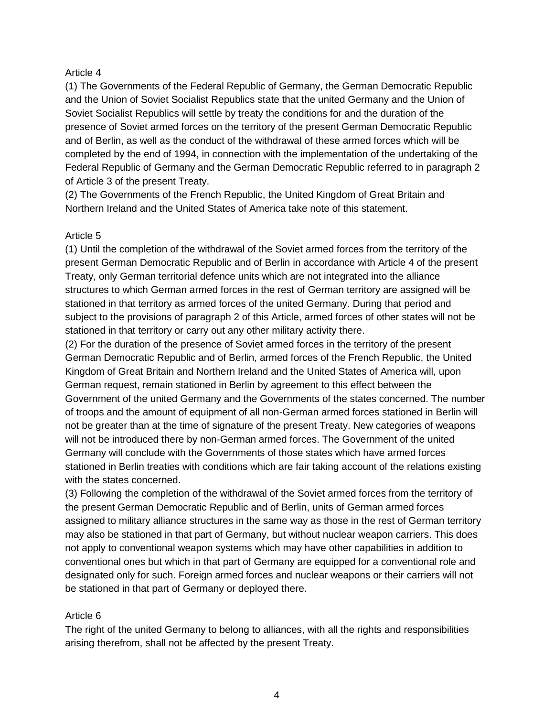# Article 4

(1) The Governments of the Federal Republic of Germany, the German Democratic Republic and the Union of Soviet Socialist Republics state that the united Germany and the Union of Soviet Socialist Republics will settle by treaty the conditions for and the duration of the presence of Soviet armed forces on the territory of the present German Democratic Republic and of Berlin, as well as the conduct of the withdrawal of these armed forces which will be completed by the end of 1994, in connection with the implementation of the undertaking of the Federal Republic of Germany and the German Democratic Republic referred to in paragraph 2 of Article 3 of the present Treaty.

(2) The Governments of the French Republic, the United Kingdom of Great Britain and Northern Ireland and the United States of America take note of this statement.

# Article 5

(1) Until the completion of the withdrawal of the Soviet armed forces from the territory of the present German Democratic Republic and of Berlin in accordance with Article 4 of the present Treaty, only German territorial defence units which are not integrated into the alliance structures to which German armed forces in the rest of German territory are assigned will be stationed in that territory as armed forces of the united Germany. During that period and subject to the provisions of paragraph 2 of this Article, armed forces of other states will not be stationed in that territory or carry out any other military activity there.

(2) For the duration of the presence of Soviet armed forces in the territory of the present German Democratic Republic and of Berlin, armed forces of the French Republic, the United Kingdom of Great Britain and Northern Ireland and the United States of America will, upon German request, remain stationed in Berlin by agreement to this effect between the Government of the united Germany and the Governments of the states concerned. The number of troops and the amount of equipment of all non-German armed forces stationed in Berlin will not be greater than at the time of signature of the present Treaty. New categories of weapons will not be introduced there by non-German armed forces. The Government of the united Germany will conclude with the Governments of those states which have armed forces stationed in Berlin treaties with conditions which are fair taking account of the relations existing with the states concerned.

(3) Following the completion of the withdrawal of the Soviet armed forces from the territory of the present German Democratic Republic and of Berlin, units of German armed forces assigned to military alliance structures in the same way as those in the rest of German territory may also be stationed in that part of Germany, but without nuclear weapon carriers. This does not apply to conventional weapon systems which may have other capabilities in addition to conventional ones but which in that part of Germany are equipped for a conventional role and designated only for such. Foreign armed forces and nuclear weapons or their carriers will not be stationed in that part of Germany or deployed there.

#### Article 6

The right of the united Germany to belong to alliances, with all the rights and responsibilities arising therefrom, shall not be affected by the present Treaty.